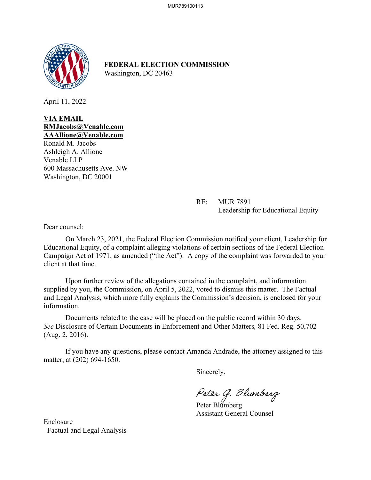

**FEDERAL ELECTION COMMISSION** Washington, DC 20463

April 11, 2022

**VIA EMAIL RMJacobs@Venable.com AAAllione@Venable.com** 

Ronald M. Jacobs Ashleigh A. Allione Venable LLP 600 Massachusetts Ave. NW Washington, DC 20001

> RE: MUR 7891 Leadership for Educational Equity

Dear counsel:

On March 23, 2021, the Federal Election Commission notified your client, Leadership for Educational Equity, of a complaint alleging violations of certain sections of the Federal Election Campaign Act of 1971, as amended ("the Act"). A copy of the complaint was forwarded to your client at that time.

 Upon further review of the allegations contained in the complaint, and information supplied by you, the Commission, on April 5, 2022, voted to dismiss this matter. The Factual and Legal Analysis, which more fully explains the Commission's decision, is enclosed for your information.

Documents related to the case will be placed on the public record within 30 days. *See* Disclosure of Certain Documents in Enforcement and Other Matters*,* 81 Fed. Reg. 50,702 (Aug. 2, 2016).

If you have any questions, please contact Amanda Andrade, the attorney assigned to this matter, at (202) 694-1650.

Sincerely,

Peter G. Blumberg<br>Peter Blumberg

Assistant General Counsel

Enclosure Factual and Legal Analysis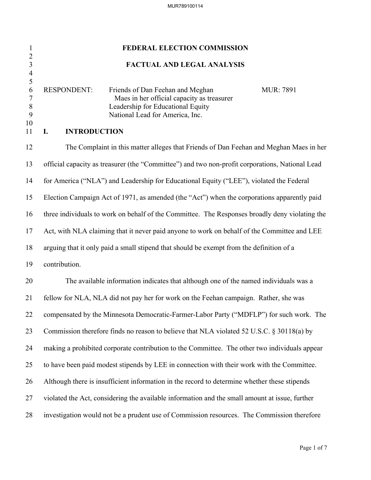# 1 **FEDERAL ELECTION COMMISSION** 2 3 **FACTUAL AND LEGAL ANALYSIS** 4  $\frac{5}{6}$ RESPONDENT: Friends of Dan Feehan and Meghan MUR: 7891 7 Maes in her official capacity as treasurer 8 Leadership for Educational Equity 9 National Lead for America, Inc. 10 11 **I. INTRODUCTION** 12 The Complaint in this matter alleges that Friends of Dan Feehan and Meghan Maes in her 13 official capacity as treasurer (the "Committee") and two non-profit corporations, National Lead 14 for America ("NLA") and Leadership for Educational Equity ("LEE"), violated the Federal 15 Election Campaign Act of 1971, as amended (the "Act") when the corporations apparently paid 16 three individuals to work on behalf of the Committee. The Responses broadly deny violating the 17 Act, with NLA claiming that it never paid anyone to work on behalf of the Committee and LEE 18 arguing that it only paid a small stipend that should be exempt from the definition of a 19 contribution. 20 The available information indicates that although one of the named individuals was a 21 fellow for NLA, NLA did not pay her for work on the Feehan campaign. Rather, she was 22 compensated by the Minnesota Democratic-Farmer-Labor Party ("MDFLP") for such work. The 23 Commission therefore finds no reason to believe that NLA violated 52 U.S.C. § 30118(a) by 24 making a prohibited corporate contribution to the Committee. The other two individuals appear 25 to have been paid modest stipends by LEE in connection with their work with the Committee. 26 Although there is insufficient information in the record to determine whether these stipends 27 violated the Act, considering the available information and the small amount at issue, further 28 investigation would not be a prudent use of Commission resources. The Commission therefore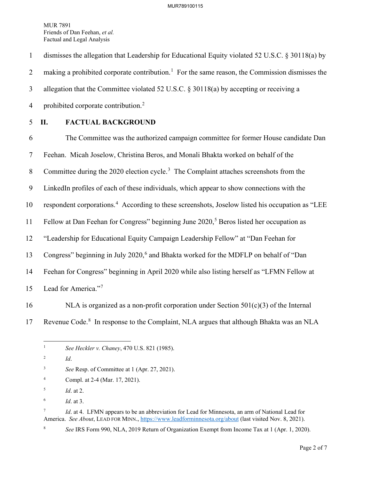1 dismisses the allegation that Leadership for Educational Equity violated 52 U.S.C. § 30118(a) by 2 making a prohibited corporate contribution.<sup>[1](#page-2-0)</sup> For the same reason, the Commission dismisses the 3 allegation that the Committee violated 52 U.S.C. § 30118(a) by accepting or receiving a 4 prohibited corporate contribution.<sup>[2](#page-2-1)</sup>

## 5 **II. FACTUAL BACKGROUND**

6 The Committee was the authorized campaign committee for former House candidate Dan 7 Feehan. Micah Joselow, Christina Beros, and Monali Bhakta worked on behalf of the 8 Committee during the 2020 election cycle.<sup>[3](#page-2-2)</sup> The Complaint attaches screenshots from the 9 LinkedIn profiles of each of these individuals, which appear to show connections with the 10 respondent corporations.<sup>[4](#page-2-3)</sup> According to these screenshots, Joselow listed his occupation as "LEE 11 Fellow at Dan Feehan for Congress" beginning June  $2020$ ,<sup>[5](#page-2-4)</sup> Beros listed her occupation as 12 "Leadership for Educational Equity Campaign Leadership Fellow" at "Dan Feehan for 13 Congress" beginning in July 2020,<sup>[6](#page-2-5)</sup> and Bhakta worked for the MDFLP on behalf of "Dan 14 Feehan for Congress" beginning in April 2020 while also listing herself as "LFMN Fellow at 15 Lead for America."<sup>[7](#page-2-6)</sup>

- 16 NLA is organized as a non-profit corporation under Section  $501(c)(3)$  of the Internal
- 

<span id="page-2-0"></span>17 Revenue Code.<sup>[8](#page-2-7)</sup> In response to the Complaint, NLA argues that although Bhakta was an NLA

<span id="page-2-3"></span>4 Compl. at 2-4 (Mar. 17, 2021).

6 *Id*. at 3.

<span id="page-2-7"></span>8

<span id="page-2-6"></span><span id="page-2-5"></span>7 *Id*. at 4. LFMN appears to be an abbreviation for Lead for Minnesota, an arm of National Lead for America. *See About*, LEAD FOR MINN.,<https://www.leadforminnesota.org/about> (last visited Nov. 8, 2021).

*See* IRS Form 990, NLA, 2019 Return of Organization Exempt from Income Tax at 1 (Apr. 1, 2020).

<sup>1</sup> *See Heckler v. Chaney*, 470 U.S. 821 (1985).

<span id="page-2-1"></span><sup>2</sup> *Id*.

<span id="page-2-2"></span><sup>3</sup> *See* Resp. of Committee at 1 (Apr. 27, 2021).

<span id="page-2-4"></span><sup>5</sup> *Id*. at 2.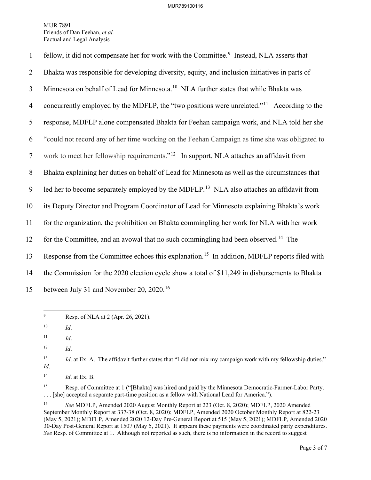| $\mathbf{1}$   | fellow, it did not compensate her for work with the Committee. <sup>9</sup> Instead, NLA asserts that    |
|----------------|----------------------------------------------------------------------------------------------------------|
| $\overline{2}$ | Bhakta was responsible for developing diversity, equity, and inclusion initiatives in parts of           |
| 3              | Minnesota on behalf of Lead for Minnesota. <sup>10</sup> NLA further states that while Bhakta was        |
| $\overline{4}$ | concurrently employed by the MDFLP, the "two positions were unrelated." <sup>11</sup> According to the   |
| 5              | response, MDFLP alone compensated Bhakta for Feehan campaign work, and NLA told her she                  |
| 6              | "could not record any of her time working on the Feehan Campaign as time she was obligated to            |
| $\tau$         | work to meet her fellowship requirements." <sup>12</sup> In support, NLA attaches an affidavit from      |
| 8              | Bhakta explaining her duties on behalf of Lead for Minnesota as well as the circumstances that           |
| 9              | led her to become separately employed by the MDFLP. <sup>13</sup> NLA also attaches an affidavit from    |
| 10             | its Deputy Director and Program Coordinator of Lead for Minnesota explaining Bhakta's work               |
| 11             | for the organization, the prohibition on Bhakta commingling her work for NLA with her work               |
| 12             | for the Committee, and an avowal that no such commingling had been observed. <sup>14</sup> The           |
| 13             | Response from the Committee echoes this explanation. <sup>15</sup> In addition, MDFLP reports filed with |
| 14             | the Commission for the 2020 election cycle show a total of \$11,249 in disbursements to Bhakta           |
| 15             | between July 31 and November 20, 2020. <sup>16</sup>                                                     |

<span id="page-3-0"></span><sup>9</sup> Resp. of NLA at 2 (Apr. 26, 2021).

<span id="page-3-6"></span><sup>15</sup> Resp. of Committee at 1 ("[Bhakta] was hired and paid by the Minnesota Democratic-Farmer-Labor Party. . . . [she] accepted a separate part-time position as a fellow with National Lead for America.").

<span id="page-3-1"></span><sup>10</sup> *Id*.

<span id="page-3-2"></span> $11$  *Id.* 

<span id="page-3-3"></span><sup>12</sup> *Id*.

<span id="page-3-4"></span><sup>&</sup>lt;sup>13</sup> *Id.* at Ex. A. The affidavit further states that "I did not mix my campaign work with my fellowship duties." *Id*.

<span id="page-3-5"></span><sup>14</sup> *Id*. at Ex. B.

<span id="page-3-7"></span><sup>16</sup> *See* MDFLP, Amended 2020 August Monthly Report at 223 (Oct. 8, 2020); MDFLP, 2020 Amended September Monthly Report at 337-38 (Oct. 8, 2020); MDFLP, Amended 2020 October Monthly Report at 822-23 (May 5, 2021); MDFLP, Amended 2020 12-Day Pre-General Report at 515 (May 5, 2021); MDFLP, Amended 2020 30-Day Post-General Report at 1507 (May 5, 2021). It appears these payments were coordinated party expenditures. *See* Resp. of Committee at 1. Although not reported as such, there is no information in the record to suggest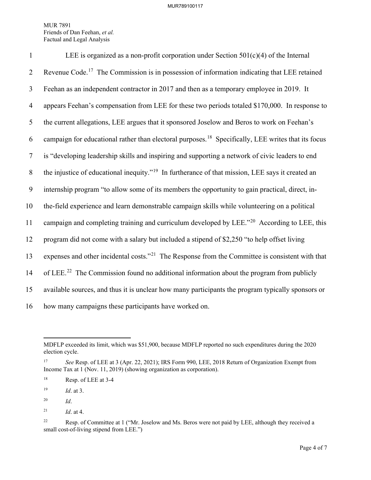| $\mathbf{1}$   | LEE is organized as a non-profit corporation under Section $501(c)(4)$ of the Internal                         |
|----------------|----------------------------------------------------------------------------------------------------------------|
| $\overline{2}$ | Revenue Code. <sup>17</sup> The Commission is in possession of information indicating that LEE retained        |
| 3              | Feehan as an independent contractor in 2017 and then as a temporary employee in 2019. It                       |
| $\overline{4}$ | appears Feehan's compensation from LEE for these two periods totaled \$170,000. In response to                 |
| 5              | the current allegations, LEE argues that it sponsored Joselow and Beros to work on Feehan's                    |
| 6              | campaign for educational rather than electoral purposes. <sup>18</sup> Specifically, LEE writes that its focus |
| $\tau$         | is "developing leadership skills and inspiring and supporting a network of civic leaders to end                |
| 8              | the injustice of educational inequity." <sup>19</sup> In furtherance of that mission, LEE says it created an   |
| 9              | internship program "to allow some of its members the opportunity to gain practical, direct, in-                |
| 10             | the-field experience and learn demonstrable campaign skills while volunteering on a political                  |
| 11             | campaign and completing training and curriculum developed by LEE." <sup>20</sup> According to LEE, this        |
| 12             | program did not come with a salary but included a stipend of \$2,250 "to help offset living                    |
| 13             | expenses and other incidental costs." <sup>21</sup> The Response from the Committee is consistent with that    |
| 14             | of LEE. <sup>22</sup> The Commission found no additional information about the program from publicly           |
| 15             | available sources, and thus it is unclear how many participants the program typically sponsors or              |
| 16             | how many campaigns these participants have worked on.                                                          |

<span id="page-4-3"></span>20 *Id*.

MDFLP exceeded its limit, which was \$51,900, because MDFLP reported no such expenditures during the 2020 election cycle.

<span id="page-4-0"></span><sup>17</sup> *See* Resp. of LEE at 3 (Apr. 22, 2021); IRS Form 990, LEE, 2018 Return of Organization Exempt from Income Tax at 1 (Nov. 11, 2019) (showing organization as corporation).

<span id="page-4-1"></span><sup>18</sup> Resp. of LEE at 3-4

<span id="page-4-2"></span><sup>19</sup> *Id*. at 3.

<span id="page-4-4"></span><sup>&</sup>lt;sup>21</sup> *Id.* at 4.

<span id="page-4-5"></span><sup>&</sup>lt;sup>22</sup> Resp. of Committee at 1 ("Mr. Joselow and Ms. Beros were not paid by LEE, although they received a small cost-of-living stipend from LEE.")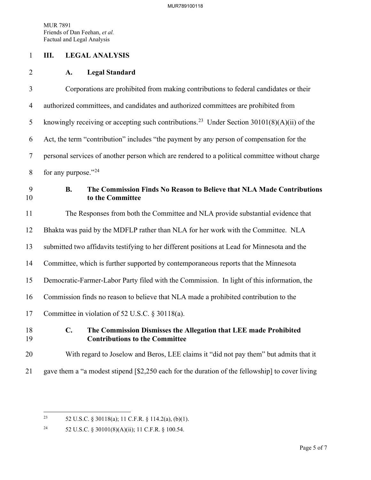#### 1 **III. LEGAL ANALYSIS**

#### 2 **A. Legal Standard**

3 Corporations are prohibited from making contributions to federal candidates or their 4 authorized committees, and candidates and authorized committees are prohibited from 5 knowingly receiving or accepting such contributions.<sup>[23](#page-5-0)</sup> Under Section 30101(8)(A)(ii) of the 6 Act, the term "contribution" includes "the payment by any person of compensation for the 7 personal services of another person which are rendered to a political committee without charge 8 for any purpose." $^{24}$  $^{24}$  $^{24}$ 9 **B. The Commission Finds No Reason to Believe that NLA Made Contributions**  10 **to the Committee**

11 The Responses from both the Committee and NLA provide substantial evidence that 12 Bhakta was paid by the MDFLP rather than NLA for her work with the Committee. NLA 13 submitted two affidavits testifying to her different positions at Lead for Minnesota and the 14 Committee, which is further supported by contemporaneous reports that the Minnesota 15 Democratic-Farmer-Labor Party filed with the Commission. In light of this information, the 16 Commission finds no reason to believe that NLA made a prohibited contribution to the 17 Committee in violation of 52 U.S.C. § 30118(a).

## 18 **C. The Commission Dismisses the Allegation that LEE made Prohibited**  19 **Contributions to the Committee**

## 20 With regard to Joselow and Beros, LEE claims it "did not pay them" but admits that it

21 gave them a "a modest stipend [\$2,250 each for the duration of the fellowship] to cover living

<span id="page-5-0"></span><sup>&</sup>lt;sup>23</sup> 52 U.S.C. § 30118(a); 11 C.F.R. § 114.2(a), (b)(1).

<span id="page-5-1"></span><sup>24 52</sup> U.S.C. § 30101(8)(A)(ii); 11 C.F.R. § 100.54.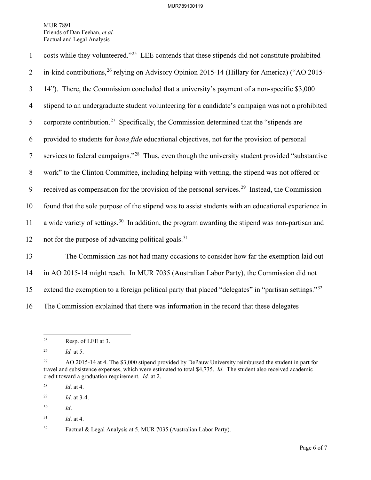| $\mathbf{1}$   | costs while they volunteered." <sup>25</sup> LEE contends that these stipends did not constitute prohibited  |
|----------------|--------------------------------------------------------------------------------------------------------------|
| 2              | in-kind contributions, <sup>26</sup> relying on Advisory Opinion 2015-14 (Hillary for America) ("AO 2015-    |
| $\mathfrak{Z}$ | 14"). There, the Commission concluded that a university's payment of a non-specific \$3,000                  |
| $\overline{4}$ | stipend to an undergraduate student volunteering for a candidate's campaign was not a prohibited             |
| 5              | corporate contribution. <sup>27</sup> Specifically, the Commission determined that the "stipends are         |
| 6              | provided to students for <i>bona fide</i> educational objectives, not for the provision of personal          |
| $\tau$         | services to federal campaigns." <sup>28</sup> Thus, even though the university student provided "substantive |
| 8              | work" to the Clinton Committee, including helping with vetting, the stipend was not offered or               |
| 9              | received as compensation for the provision of the personal services. <sup>29</sup> Instead, the Commission   |
| 10             | found that the sole purpose of the stipend was to assist students with an educational experience in          |
| 11             | a wide variety of settings. <sup>30</sup> In addition, the program awarding the stipend was non-partisan and |
| 12             | not for the purpose of advancing political goals. <sup>31</sup>                                              |
| 13             | The Commission has not had many occasions to consider how far the exemption laid out                         |
| 14             | in AO 2015-14 might reach. In MUR 7035 (Australian Labor Party), the Commission did not                      |

15 extend the exemption to a foreign political party that placed "delegates" in "partisan settings."<sup>[32](#page-6-7)</sup>

16 The Commission explained that there was information in the record that these delegates

<span id="page-6-0"></span> $25$  Resp. of LEE at 3.

<span id="page-6-1"></span><sup>26</sup> *Id.* at 5.

<span id="page-6-2"></span><sup>&</sup>lt;sup>27</sup> AO 2015-14 at 4. The \$3,000 stipend provided by DePauw University reimbursed the student in part for travel and subsistence expenses, which were estimated to total \$4,735. *Id*. The student also received academic credit toward a graduation requirement. *Id.* at 2.

<span id="page-6-3"></span><sup>28</sup> *Id*. at 4.

<span id="page-6-4"></span><sup>29</sup> *Id*. at 3-4.

<span id="page-6-5"></span><sup>30</sup> *Id*.

<span id="page-6-6"></span><sup>31</sup> *Id*. at 4.

<span id="page-6-7"></span><sup>32</sup> Factual & Legal Analysis at 5, MUR 7035 (Australian Labor Party).